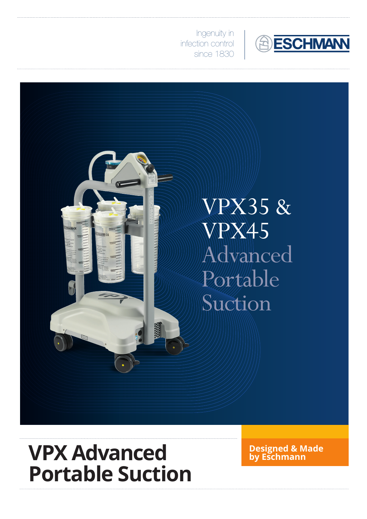

Ingenuity in infection control since 1830



# **VPX Advanced by Eschmann Portable Suction**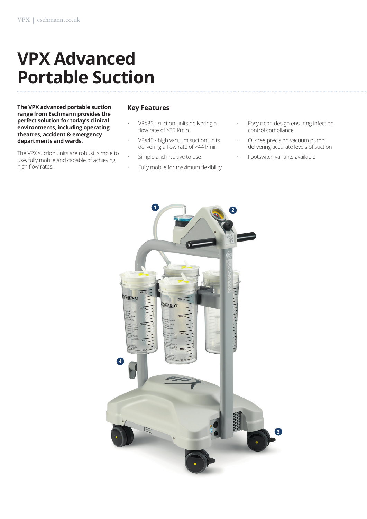## **VPX Advanced Portable Suction**

**The VPX advanced portable suction range from Eschmann provides the perfect solution for today's clinical environments, including operating theatres, accident & emergency departments and wards.**

The VPX suction units are robust, simple to use, fully mobile and capable of achieving high flow rates.

#### **Key Features**

- VPX35 suction units delivering a flow rate of >35 l/min
- VPX45 high vacuum suction units delivering a flow rate of >44 l/min
- Simple and intuitive to use
- Fully mobile for maximum flexibility
- Easy clean design ensuring infection control compliance
- Oil-free precision vacuum pump delivering accurate levels of suction
- Footswitch variants available

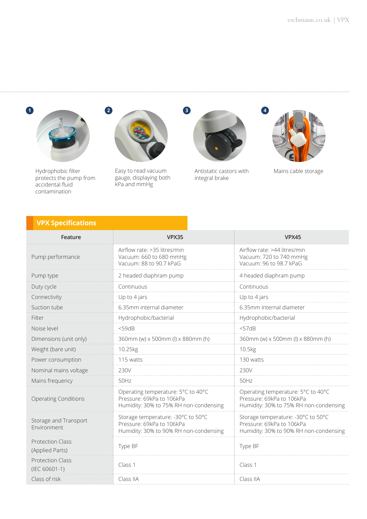

Hydrophobic filter protects the pump from accidental fluid contamination



Easy to read vacuum gauge, displaying both kPa and mmHg



Antistatic castors with Mains cable storage integral brake



### **VPX Specifications**

| Feature                                    | VPX35                                                                                                     | <b>VPX45</b>                                                                                              |
|--------------------------------------------|-----------------------------------------------------------------------------------------------------------|-----------------------------------------------------------------------------------------------------------|
| Pump performance                           | Airflow rate: >35 litres/min<br>Vacuum: 660 to 680 mmHg<br>Vacuum: 88 to 90.7 kPaG                        | Airflow rate: >44 litres/min<br>Vacuum: 720 to 740 mmHg<br>Vacuum: 96 to 98.7 kPaG                        |
| Pump type                                  | 2 headed diaphram pump                                                                                    | 4 headed diaphram pump                                                                                    |
| Duty cycle                                 | Continuous                                                                                                | Continuous                                                                                                |
| Connectivity                               | Up to 4 jars                                                                                              | Up to 4 jars                                                                                              |
| Suction tube                               | 6.35mm internal diameter                                                                                  | 6.35mm Internal diameter                                                                                  |
| Filter                                     | Hydrophobic/bacterial                                                                                     | Hydrophobic/bacterial                                                                                     |
| Noise level                                | $<$ 59dB                                                                                                  | $<$ 57dB                                                                                                  |
| Dimensions (unit only)                     | 360mm (w) x 500mm (l) x 880mm (h)                                                                         | 360mm (w) x 500mm (l) x 880mm (h)                                                                         |
| Weight (bare unit)                         | 10.25kg                                                                                                   | 10.5kg                                                                                                    |
| Power consumption                          | 115 watts                                                                                                 | 130 watts                                                                                                 |
| Nominal mains voltage                      | 230V                                                                                                      | 230V                                                                                                      |
| Mains frequency                            | 50Hz                                                                                                      | 50Hz                                                                                                      |
| <b>Operating Conditions</b>                | Operating temperature: 5°C to 40°C<br>Pressure: 69kPa to 106kPa<br>Humidity: 30% to 75% RH non-condensing | Operating temperature: 5°C to 40°C<br>Pressure: 69kPa to 106kPa<br>Humidity: 30% to 75% RH non-condensing |
| Storage and Transport<br>Environment       | Storage temperature: -30°C to 50°C<br>Pressure: 69kPa to 106kPa<br>Humidity: 30% to 90% RH non-condensing | Storage temperature: -30°C to 50°C<br>Pressure: 69kPa to 106kPa<br>Humidity: 30% to 90% RH non-condensing |
| <b>Protection Class</b><br>(Applied Parts) | Type BF                                                                                                   | Type BF                                                                                                   |
| <b>Protection Class</b><br>(IEC 60601-1)   | Class 1                                                                                                   | Class 1                                                                                                   |
| Class of risk                              | Class IIA                                                                                                 | Class IIA                                                                                                 |